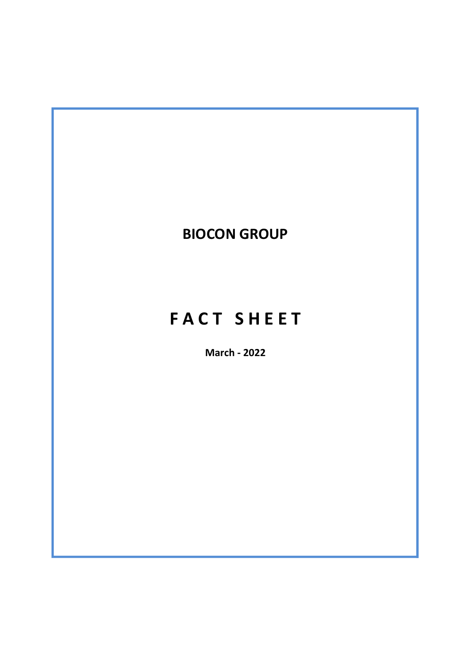## BIOCON GROUP

## FACT SHEET

March - 2022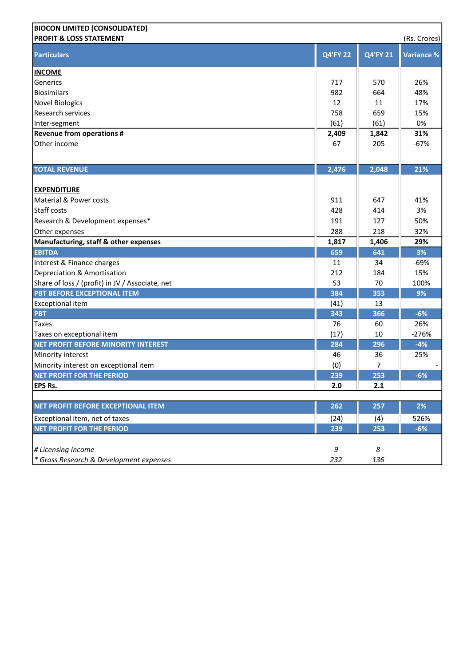| <b>BIOCON LIMITED (CONSOLIDATED)</b><br><b>PROFIT &amp; LOSS STATEMENT</b><br>(Rs. Crores) |                 |                 |                   |  |
|--------------------------------------------------------------------------------------------|-----------------|-----------------|-------------------|--|
| <b>Particulars</b>                                                                         | <b>Q4'FY 22</b> | <b>Q4'FY 21</b> | <b>Variance %</b> |  |
| <b>INCOME</b>                                                                              |                 |                 |                   |  |
| Generics                                                                                   | 717             | 570             | 26%               |  |
| Biosimilars                                                                                | 982             | 664             | 48%               |  |
| <b>Novel Biologics</b>                                                                     | 12              | 11              | 17%               |  |
| <b>Research services</b>                                                                   | 758             | 659             | 15%               |  |
| Inter-segment                                                                              | (61)            | (61)            | 0%                |  |
| <b>Revenue from operations #</b>                                                           | 2,409           | 1,842           | 31%               |  |
| Other income                                                                               | 67              | 205             | $-67%$            |  |
| <b>TOTAL REVENUE</b>                                                                       | 2,476           | 2,048           | 21%               |  |
| <b>EXPENDITURE</b>                                                                         |                 |                 |                   |  |
| Material & Power costs                                                                     | 911             | 647             | 41%               |  |
| Staff costs                                                                                | 428             | 414             | 3%                |  |
| Research & Development expenses*                                                           | 191             | 127             | 50%               |  |
| Other expenses                                                                             | 288             | 218             | 32%               |  |
| Manufacturing, staff & other expenses                                                      | 1,817           | 1,406           | 29%               |  |
| <b>EBITDA</b>                                                                              | 659             | 641             | 3%                |  |
| Interest & Finance charges                                                                 | 11              | 34              | -69%              |  |
| Depreciation & Amortisation                                                                | 212             | 184             | 15%               |  |
| Share of loss / (profit) in JV / Associate, net                                            | 53              | 70              | 100%              |  |
| PBT BEFORE EXCEPTIONAL ITEM                                                                | 384             | 353             | 9%                |  |
| Exceptional item                                                                           | (41)            | 13              |                   |  |
| <b>PBT</b>                                                                                 | 343             | 366             | $-6%$             |  |
| <b>Taxes</b>                                                                               | 76              | 60              | 26%               |  |
| Taxes on exceptional item                                                                  | (17)            | 10              | $-276%$           |  |
| <b>NET PROFIT BEFORE MINORITY INTEREST</b>                                                 | 284             | 296             | $-4%$             |  |
| Minority interest                                                                          | 46              | 36              | 25%               |  |
| Minority interest on exceptional item                                                      | (0)             | 7               |                   |  |
| <b>NET PROFIT FOR THE PERIOD</b>                                                           | 239             | 253             | $-6%$             |  |
| <b>EPS Rs.</b>                                                                             | 2.0             | 2.1             |                   |  |
| <b>NET PROFIT BEFORE EXCEPTIONAL ITEM</b>                                                  | 262             | 257             | 2%                |  |
| Exceptional item, net of taxes                                                             | (24)            | (4)             | 526%              |  |
| <b>NET PROFIT FOR THE PERIOD</b>                                                           | 239             | 253             | $-6%$             |  |
|                                                                                            |                 |                 |                   |  |
| # Licensing Income                                                                         | 9               | 8               |                   |  |
| * Gross Research & Development expenses                                                    | 232             | 136             |                   |  |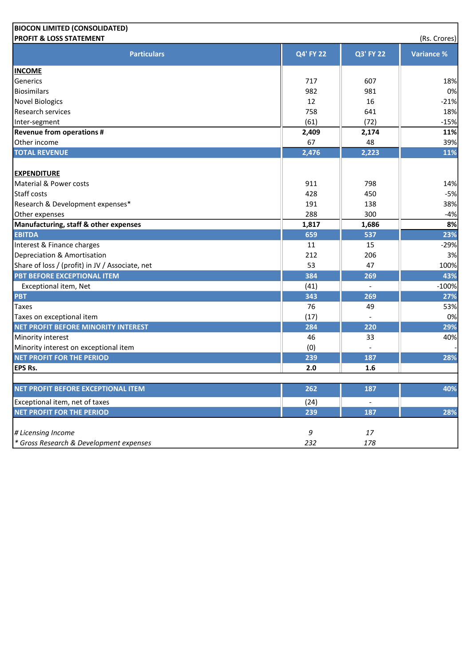| <b>BIOCON LIMITED (CONSOLIDATED)</b><br><b>PROFIT &amp; LOSS STATEMENT</b> |                  |           | (Rs. Crores)      |
|----------------------------------------------------------------------------|------------------|-----------|-------------------|
| <b>Particulars</b>                                                         | <b>Q4' FY 22</b> | Q3' FY 22 | <b>Variance %</b> |
| <b>INCOME</b>                                                              |                  |           |                   |
| Generics                                                                   | 717              | 607       | 18%               |
| <b>Biosimilars</b>                                                         | 982              | 981       | 0%                |
| <b>Novel Biologics</b>                                                     | 12               | 16        | $-21%$            |
| Research services                                                          | 758              | 641       | 18%               |
| Inter-segment                                                              | (61)             | (72)      | $-15%$            |
| <b>Revenue from operations #</b>                                           | 2,409            | 2,174     | 11%               |
| Other income                                                               | 67               | 48        | 39%               |
| <b>TOTAL REVENUE</b>                                                       | 2,476            | 2,223     | 11%               |
| <b>EXPENDITURE</b>                                                         |                  |           |                   |
| Material & Power costs                                                     | 911              | 798       | 14%               |
| Staff costs                                                                | 428              | 450       | $-5%$             |
| Research & Development expenses*                                           | 191              | 138       | 38%               |
| Other expenses                                                             | 288              | 300       | $-4%$             |
| Manufacturing, staff & other expenses                                      | 1,817            | 1,686     | 8%                |
| <b>EBITDA</b>                                                              | 659              | 537       | 23%               |
| Interest & Finance charges                                                 | 11               | 15        | $-29%$            |
| Depreciation & Amortisation                                                | 212              | 206       | 3%                |
| Share of loss / (profit) in JV / Associate, net                            | 53               | 47        | 100%              |
| PBT BEFORE EXCEPTIONAL ITEM                                                | 384              | 269       | 43%               |
| Exceptional item, Net                                                      | (41)             |           | $-100%$           |
| <b>PBT</b>                                                                 | 343              | 269       | 27%               |
| Taxes                                                                      | 76               | 49        | 53%               |
| Taxes on exceptional item                                                  | (17)             |           | 0%                |
| <b>NET PROFIT BEFORE MINORITY INTEREST</b>                                 | 284              | 220       | 29%               |
| Minority interest                                                          | 46               | 33        | 40%               |
| Minority interest on exceptional item                                      | (0)              |           |                   |
| <b>NET PROFIT FOR THE PERIOD</b>                                           | 239              | 187       | 28%               |
| <b>EPS Rs.</b>                                                             | 2.0              | 1.6       |                   |
| NET PROFIT BEFORE EXCEPTIONAL ITEM                                         | 262              | 187       | 40%               |
| Exceptional item, net of taxes                                             | (24)             |           |                   |
| <b>NET PROFIT FOR THE PERIOD</b>                                           | 239              | 187       | 28%               |
|                                                                            |                  |           |                   |
| # Licensing Income<br>* Gross Research & Development expenses              | 9<br>232         | 17<br>178 |                   |
|                                                                            |                  |           |                   |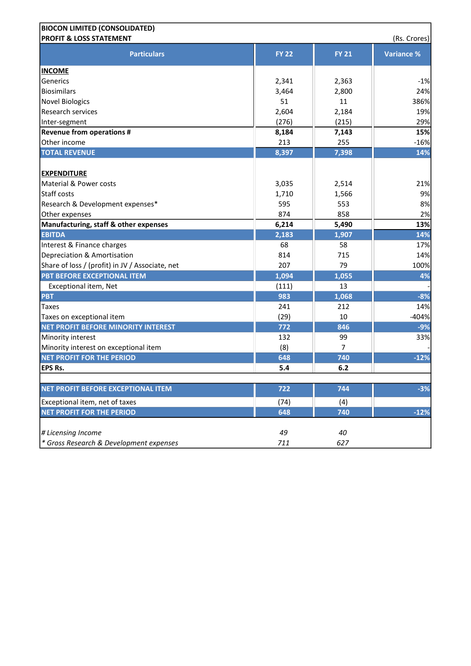| <b>BIOCON LIMITED (CONSOLIDATED)</b>            |              |                |                   |
|-------------------------------------------------|--------------|----------------|-------------------|
| <b>PROFIT &amp; LOSS STATEMENT</b>              |              |                | (Rs. Crores)      |
| <b>Particulars</b>                              | <b>FY 22</b> | <b>FY 21</b>   | <b>Variance %</b> |
| <b>INCOME</b>                                   |              |                |                   |
| Generics                                        | 2,341        | 2,363          | $-1%$             |
| Biosimilars                                     | 3,464        | 2,800          | 24%               |
| <b>Novel Biologics</b>                          | 51           | 11             | 386%              |
| <b>Research services</b>                        | 2,604        | 2,184          | 19%               |
| Inter-segment                                   | (276)        | (215)          | 29%               |
| <b>Revenue from operations #</b>                | 8,184        | 7,143          | 15%               |
| Other income                                    | 213          | 255            | $-16%$            |
| <b>TOTAL REVENUE</b>                            | 8,397        | 7,398          | 14%               |
| <b>EXPENDITURE</b>                              |              |                |                   |
| Material & Power costs                          | 3,035        | 2,514          | 21%               |
| Staff costs                                     | 1,710        | 1,566          | 9%                |
| Research & Development expenses*                | 595          | 553            | 8%                |
| Other expenses                                  | 874          | 858            | 2%                |
| Manufacturing, staff & other expenses           | 6,214        | 5,490          | 13%               |
| <b>EBITDA</b>                                   | 2,183        | 1,907          | 14%               |
| Interest & Finance charges                      | 68           | 58             | 17%               |
| Depreciation & Amortisation                     | 814          | 715            | 14%               |
| Share of loss / (profit) in JV / Associate, net | 207          | 79             | 100%              |
| PBT BEFORE EXCEPTIONAL ITEM                     | 1,094        | 1,055          | 4%                |
| Exceptional item, Net                           | (111)        | 13             |                   |
| <b>PBT</b>                                      | 983          | 1,068          | $-8%$             |
| <b>Taxes</b>                                    | 241          | 212            | 14%               |
| Taxes on exceptional item                       | (29)         | 10             | $-404%$           |
| <b>NET PROFIT BEFORE MINORITY INTEREST</b>      | 772          | 846            | $-9%$             |
| Minority interest                               | 132          | 99             | 33%               |
| Minority interest on exceptional item           | (8)          | $\overline{7}$ |                   |
| <b>NET PROFIT FOR THE PERIOD</b>                | 648          | 740            | $-12%$            |
| <b>EPS Rs.</b>                                  | 5.4          | 6.2            |                   |
| NET PROFIT BEFORE EXCEPTIONAL ITEM              | 722          | 744            | $-3%$             |
| Exceptional item, net of taxes                  | (74)         | (4)            |                   |
| <b>NET PROFIT FOR THE PERIOD</b>                | 648          | 740            | $-12%$            |
| # Licensing Income                              | 49           | 40             |                   |
| * Gross Research & Development expenses         | 711          | 627            |                   |